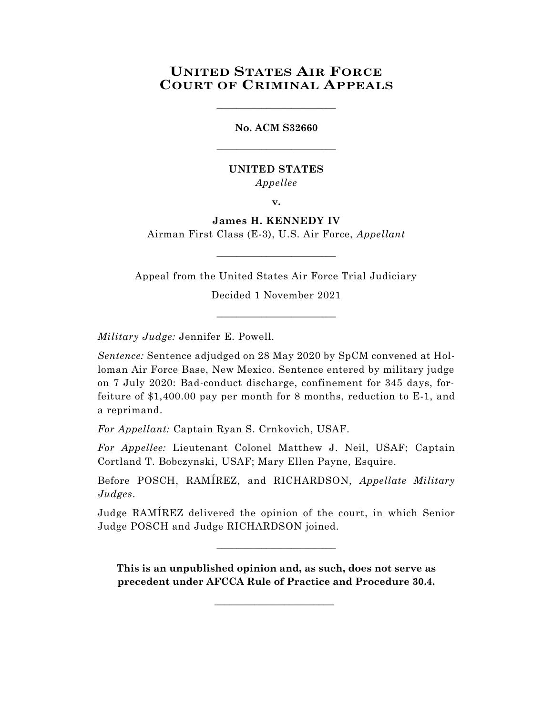## **UNITED STATES AIR FORCE COURT OF CRIMINAL APPEALS**

\_\_\_\_\_\_\_\_\_\_\_\_\_\_\_\_\_\_\_\_\_\_\_\_

# **No. ACM S32660** \_\_\_\_\_\_\_\_\_\_\_\_\_\_\_\_\_\_\_\_\_\_\_\_

### **UNITED STATES** *Appellee*

**v.**

### **James H. KENNEDY IV**

Airman First Class (E-3), U.S. Air Force, *Appellant* \_\_\_\_\_\_\_\_\_\_\_\_\_\_\_\_\_\_\_\_\_\_\_\_

Appeal from the United States Air Force Trial Judiciary

Decided 1 November 2021 \_\_\_\_\_\_\_\_\_\_\_\_\_\_\_\_\_\_\_\_\_\_\_\_

*Military Judge:* Jennifer E. Powell.

*Sentence:* Sentence adjudged on 28 May 2020 by SpCM convened at Holloman Air Force Base, New Mexico. Sentence entered by military judge on 7 July 2020: Bad-conduct discharge, confinement for 345 days, forfeiture of \$1,400.00 pay per month for 8 months, reduction to E-1, and a reprimand.

*For Appellant:* Captain Ryan S. Crnkovich, USAF.

*For Appellee:* Lieutenant Colonel Matthew J. Neil, USAF; Captain Cortland T. Bobczynski, USAF; Mary Ellen Payne, Esquire.

Before POSCH, RAMÍREZ, and RICHARDSON, *Appellate Military Judges*.

Judge RAMÍREZ delivered the opinion of the court, in which Senior Judge POSCH and Judge RICHARDSON joined.

\_\_\_\_\_\_\_\_\_\_\_\_\_\_\_\_\_\_\_\_\_\_\_\_

**This is an unpublished opinion and, as such, does not serve as precedent under AFCCA Rule of Practice and Procedure 30.4.**

\_\_\_\_\_\_\_\_\_\_\_\_\_\_\_\_\_\_\_\_\_\_\_\_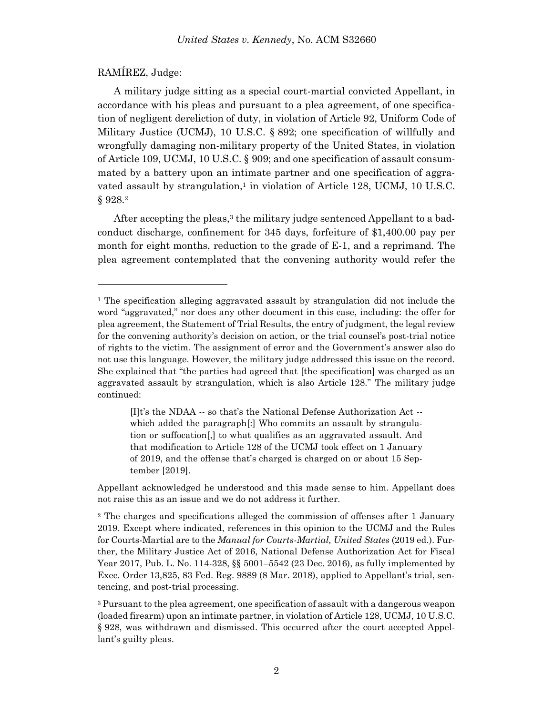### RAMÍREZ, Judge:

l

A military judge sitting as a special court-martial convicted Appellant, in accordance with his pleas and pursuant to a plea agreement, of one specification of negligent dereliction of duty, in violation of Article 92, Uniform Code of Military Justice (UCMJ), 10 U.S.C. § 892; one specification of willfully and wrongfully damaging non-military property of the United States, in violation of Article 109, UCMJ, 10 U.S.C. § 909; and one specification of assault consummated by a battery upon an intimate partner and one specification of aggravated assault by strangulation,<sup>1</sup> in violation of Article 128, UCMJ, 10 U.S.C. § 928. 2

After accepting the pleas,<sup>3</sup> the military judge sentenced Appellant to a badconduct discharge, confinement for 345 days, forfeiture of \$1,400.00 pay per month for eight months, reduction to the grade of E-1, and a reprimand. The plea agreement contemplated that the convening authority would refer the

 $[I]t$ 's the NDAA  $-$  so that's the National Defense Authorization Act  $$ which added the paragraph<sup>[:]</sup> Who commits an assault by strangulation or suffocation[,] to what qualifies as an aggravated assault. And that modification to Article 128 of the UCMJ took effect on 1 January of 2019, and the offense that's charged is charged on or about 15 September [2019].

Appellant acknowledged he understood and this made sense to him. Appellant does not raise this as an issue and we do not address it further.

<sup>1</sup> The specification alleging aggravated assault by strangulation did not include the word "aggravated," nor does any other document in this case, including: the offer for plea agreement, the Statement of Trial Results, the entry of judgment, the legal review for the convening authority's decision on action, or the trial counsel's post-trial notice of rights to the victim. The assignment of error and the Government's answer also do not use this language. However, the military judge addressed this issue on the record. She explained that "the parties had agreed that [the specification] was charged as an aggravated assault by strangulation, which is also Article 128." The military judge continued:

<sup>2</sup> The charges and specifications alleged the commission of offenses after 1 January 2019. Except where indicated, references in this opinion to the UCMJ and the Rules for Courts-Martial are to the *Manual for Courts-Martial, United States* (2019 ed.). Further, the Military Justice Act of 2016, National Defense Authorization Act for Fiscal Year 2017, Pub. L. No. 114-328, §§ 5001–5542 (23 Dec. 2016), as fully implemented by Exec. Order 13,825, 83 Fed. Reg. 9889 (8 Mar. 2018), applied to Appellant's trial, sentencing, and post-trial processing.

<sup>3</sup> Pursuant to the plea agreement, one specification of assault with a dangerous weapon (loaded firearm) upon an intimate partner, in violation of Article 128, UCMJ, 10 U.S.C. § 928, was withdrawn and dismissed. This occurred after the court accepted Appellant's guilty pleas.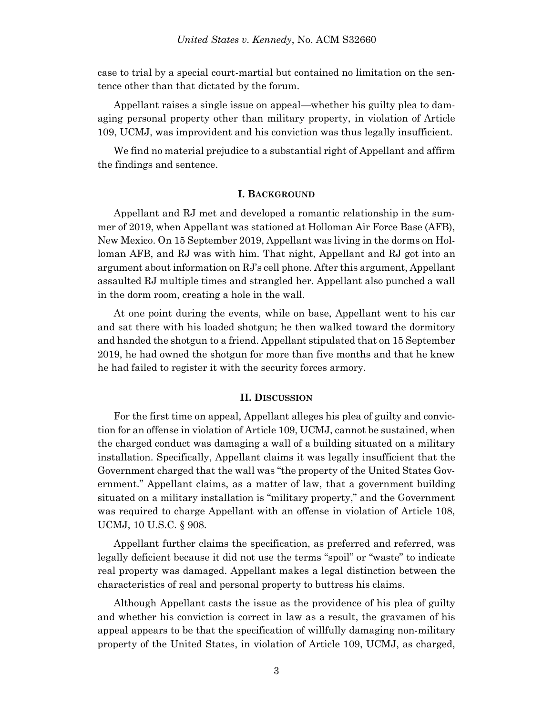case to trial by a special court-martial but contained no limitation on the sentence other than that dictated by the forum.

Appellant raises a single issue on appeal—whether his guilty plea to damaging personal property other than military property, in violation of Article 109, UCMJ, was improvident and his conviction was thus legally insufficient.

We find no material prejudice to a substantial right of Appellant and affirm the findings and sentence.

#### **I. BACKGROUND**

Appellant and RJ met and developed a romantic relationship in the summer of 2019, when Appellant was stationed at Holloman Air Force Base (AFB), New Mexico. On 15 September 2019, Appellant was living in the dorms on Holloman AFB, and RJ was with him. That night, Appellant and RJ got into an argument about information on RJ's cell phone. After this argument, Appellant assaulted RJ multiple times and strangled her. Appellant also punched a wall in the dorm room, creating a hole in the wall.

At one point during the events, while on base, Appellant went to his car and sat there with his loaded shotgun; he then walked toward the dormitory and handed the shotgun to a friend. Appellant stipulated that on 15 September 2019, he had owned the shotgun for more than five months and that he knew he had failed to register it with the security forces armory.

#### **II. DISCUSSION**

For the first time on appeal, Appellant alleges his plea of guilty and conviction for an offense in violation of Article 109, UCMJ, cannot be sustained, when the charged conduct was damaging a wall of a building situated on a military installation. Specifically, Appellant claims it was legally insufficient that the Government charged that the wall was "the property of the United States Government." Appellant claims, as a matter of law, that a government building situated on a military installation is "military property," and the Government was required to charge Appellant with an offense in violation of Article 108, UCMJ, 10 U.S.C. § 908.

Appellant further claims the specification, as preferred and referred, was legally deficient because it did not use the terms "spoil" or "waste" to indicate real property was damaged. Appellant makes a legal distinction between the characteristics of real and personal property to buttress his claims.

Although Appellant casts the issue as the providence of his plea of guilty and whether his conviction is correct in law as a result, the gravamen of his appeal appears to be that the specification of willfully damaging non-military property of the United States, in violation of Article 109, UCMJ, as charged,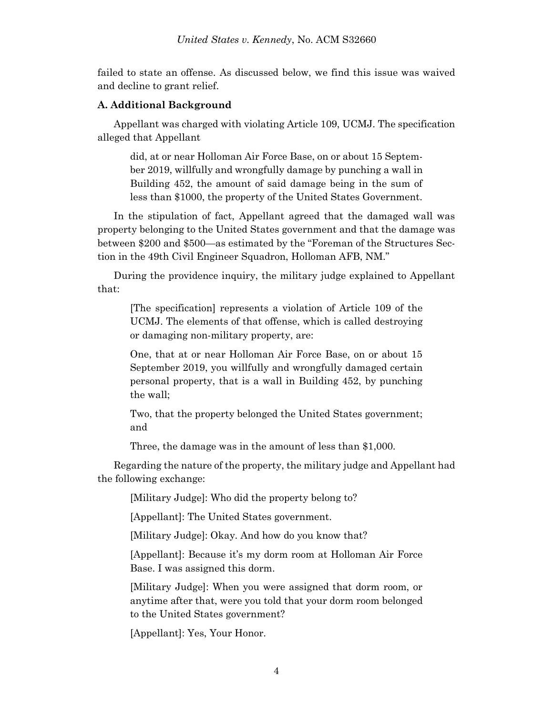failed to state an offense. As discussed below, we find this issue was waived and decline to grant relief.

### **A. Additional Background**

Appellant was charged with violating Article 109, UCMJ. The specification alleged that Appellant

did, at or near Holloman Air Force Base, on or about 15 September 2019, willfully and wrongfully damage by punching a wall in Building 452, the amount of said damage being in the sum of less than \$1000, the property of the United States Government.

In the stipulation of fact, Appellant agreed that the damaged wall was property belonging to the United States government and that the damage was between \$200 and \$500—as estimated by the "Foreman of the Structures Section in the 49th Civil Engineer Squadron, Holloman AFB, NM."

During the providence inquiry, the military judge explained to Appellant that:

[The specification] represents a violation of Article 109 of the UCMJ. The elements of that offense, which is called destroying or damaging non-military property, are:

One, that at or near Holloman Air Force Base, on or about 15 September 2019, you willfully and wrongfully damaged certain personal property, that is a wall in Building 452, by punching the wall;

Two, that the property belonged the United States government; and

Three, the damage was in the amount of less than \$1,000.

Regarding the nature of the property, the military judge and Appellant had the following exchange:

[Military Judge]: Who did the property belong to?

[Appellant]: The United States government.

[Military Judge]: Okay. And how do you know that?

[Appellant]: Because it's my dorm room at Holloman Air Force Base. I was assigned this dorm.

[Military Judge]: When you were assigned that dorm room, or anytime after that, were you told that your dorm room belonged to the United States government?

[Appellant]: Yes, Your Honor.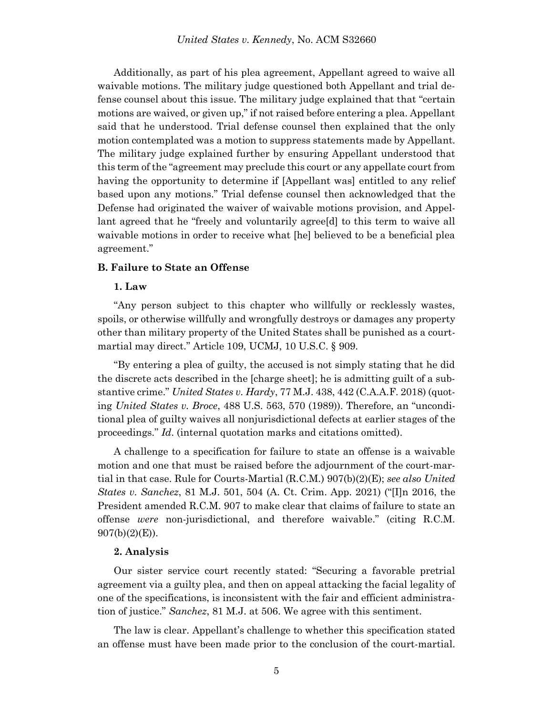Additionally, as part of his plea agreement, Appellant agreed to waive all waivable motions. The military judge questioned both Appellant and trial defense counsel about this issue. The military judge explained that that "certain motions are waived, or given up," if not raised before entering a plea. Appellant said that he understood. Trial defense counsel then explained that the only motion contemplated was a motion to suppress statements made by Appellant. The military judge explained further by ensuring Appellant understood that this term of the "agreement may preclude this court or any appellate court from having the opportunity to determine if [Appellant was] entitled to any relief based upon any motions." Trial defense counsel then acknowledged that the Defense had originated the waiver of waivable motions provision, and Appellant agreed that he "freely and voluntarily agree[d] to this term to waive all waivable motions in order to receive what [he] believed to be a beneficial plea agreement."

### **B. Failure to State an Offense**

#### **1. Law**

"Any person subject to this chapter who willfully or recklessly wastes, spoils, or otherwise willfully and wrongfully destroys or damages any property other than military property of the United States shall be punished as a courtmartial may direct." Article 109, UCMJ, 10 U.S.C. § 909.

"By entering a plea of guilty, the accused is not simply stating that he did the discrete acts described in the [charge sheet]; he is admitting guilt of a substantive crime." *United States v. Hardy*, 77 M.J. 438, 442 (C.A.A.F. 2018) (quoting *United States v. Broce*, 488 U.S. 563, 570 (1989)). Therefore, an "unconditional plea of guilty waives all nonjurisdictional defects at earlier stages of the proceedings." *Id*. (internal quotation marks and citations omitted).

A challenge to a specification for failure to state an offense is a waivable motion and one that must be raised before the adjournment of the court-martial in that case. Rule for Courts-Martial (R.C.M.) 907(b)(2)(E); *see also United States v. Sanchez*, 81 M.J. 501, 504 (A. Ct. Crim. App. 2021) ("[I]n 2016, the President amended R.C.M. 907 to make clear that claims of failure to state an offense *were* non-jurisdictional, and therefore waivable." (citing R.C.M.  $907(b)(2)(E)$ ).

#### **2. Analysis**

Our sister service court recently stated: "Securing a favorable pretrial agreement via a guilty plea, and then on appeal attacking the facial legality of one of the specifications, is inconsistent with the fair and efficient administration of justice." *Sanchez*, 81 M.J. at 506. We agree with this sentiment.

The law is clear. Appellant's challenge to whether this specification stated an offense must have been made prior to the conclusion of the court-martial.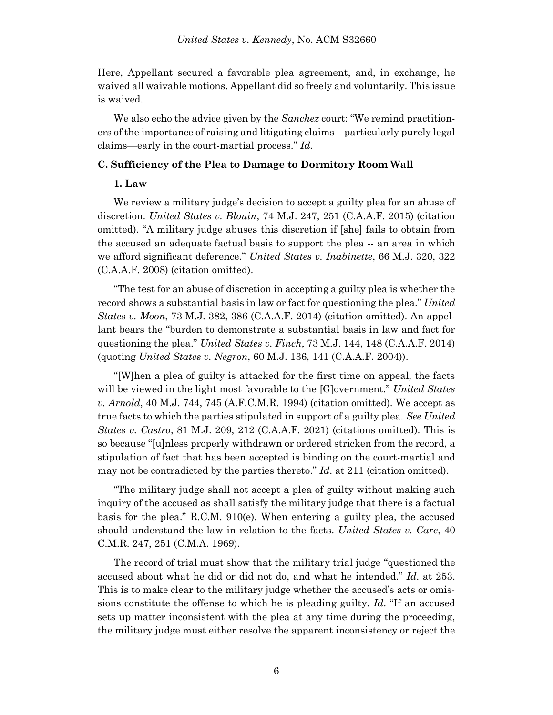Here, Appellant secured a favorable plea agreement, and, in exchange, he waived all waivable motions. Appellant did so freely and voluntarily. This issue is waived.

We also echo the advice given by the *Sanchez* court: "We remind practitioners of the importance of raising and litigating claims—particularly purely legal claims—early in the court-martial process." *Id.*

### **C. Sufficiency of the Plea to Damage to Dormitory Room Wall**

### **1. Law**

We review a military judge's decision to accept a guilty plea for an abuse of discretion. *United States v. Blouin*, 74 M.J. 247, 251 (C.A.A.F. 2015) (citation omitted). "A military judge abuses this discretion if [she] fails to obtain from the accused an adequate factual basis to support the plea -- an area in which we afford significant deference." *United States v. Inabinette*, 66 M.J. 320, 322 (C.A.A.F. 2008) (citation omitted).

"The test for an abuse of discretion in accepting a guilty plea is whether the record shows a substantial basis in law or fact for questioning the plea." *United States v. Moon*, 73 M.J. 382, 386 (C.A.A.F. 2014) (citation omitted). An appellant bears the "burden to demonstrate a substantial basis in law and fact for questioning the plea." *United States v. Finch*, 73 M.J. 144, 148 (C.A.A.F. 2014) (quoting *United States v. Negron*, 60 M.J. 136, 141 (C.A.A.F. 2004)).

"[W]hen a plea of guilty is attacked for the first time on appeal, the facts will be viewed in the light most favorable to the [G]overnment." *United States v. Arnold*, 40 M.J. 744, 745 (A.F.C.M.R. 1994) (citation omitted). We accept as true facts to which the parties stipulated in support of a guilty plea. *See United States v. Castro*, 81 M.J. 209, 212 (C.A.A.F. 2021) (citations omitted). This is so because "[u]nless properly withdrawn or ordered stricken from the record, a stipulation of fact that has been accepted is binding on the court-martial and may not be contradicted by the parties thereto." *Id*. at 211 (citation omitted).

"The military judge shall not accept a plea of guilty without making such inquiry of the accused as shall satisfy the military judge that there is a factual basis for the plea." R.C.M. 910(e). When entering a guilty plea, the accused should understand the law in relation to the facts. *United States v. Care*, 40 C.M.R. 247, 251 (C.M.A. 1969).

The record of trial must show that the military trial judge "questioned the accused about what he did or did not do, and what he intended." *Id*. at 253. This is to make clear to the military judge whether the accused's acts or omissions constitute the offense to which he is pleading guilty. *Id*. "If an accused sets up matter inconsistent with the plea at any time during the proceeding, the military judge must either resolve the apparent inconsistency or reject the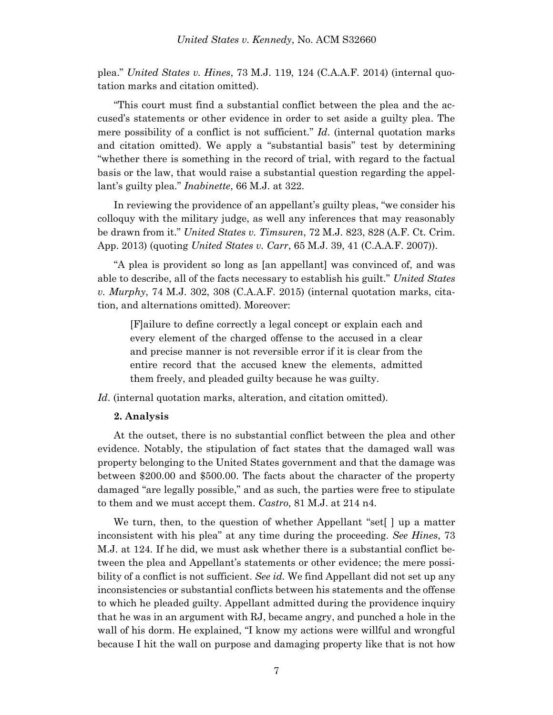plea." *United States v. Hines*, 73 M.J. 119, 124 (C.A.A.F. 2014) (internal quotation marks and citation omitted).

"This court must find a substantial conflict between the plea and the accused's statements or other evidence in order to set aside a guilty plea. The mere possibility of a conflict is not sufficient." *Id*. (internal quotation marks and citation omitted). We apply a "substantial basis" test by determining "whether there is something in the record of trial, with regard to the factual basis or the law, that would raise a substantial question regarding the appellant's guilty plea." *Inabinette*, 66 M.J. at 322.

In reviewing the providence of an appellant's guilty pleas, "we consider his colloquy with the military judge, as well any inferences that may reasonably be drawn from it." *United States v. Timsuren*, 72 M.J. 823, 828 (A.F. Ct. Crim. App. 2013) (quoting *United States v. Carr*, 65 M.J. 39, 41 (C.A.A.F. 2007)).

"A plea is provident so long as [an appellant] was convinced of, and was able to describe, all of the facts necessary to establish his guilt." *United States v. Murphy*, 74 M.J. 302, 308 (C.A.A.F. 2015) (internal quotation marks, citation, and alternations omitted). Moreover:

[F]ailure to define correctly a legal concept or explain each and every element of the charged offense to the accused in a clear and precise manner is not reversible error if it is clear from the entire record that the accused knew the elements, admitted them freely, and pleaded guilty because he was guilty.

*Id*. (internal quotation marks, alteration, and citation omitted).

#### **2. Analysis**

At the outset, there is no substantial conflict between the plea and other evidence. Notably, the stipulation of fact states that the damaged wall was property belonging to the United States government and that the damage was between \$200.00 and \$500.00. The facts about the character of the property damaged "are legally possible," and as such, the parties were free to stipulate to them and we must accept them. *Castro*, 81 M.J. at 214 n4.

We turn, then, to the question of whether Appellant "set[ ] up a matter inconsistent with his plea" at any time during the proceeding. *See Hines*, 73 M.J. at 124. If he did, we must ask whether there is a substantial conflict between the plea and Appellant's statements or other evidence; the mere possibility of a conflict is not sufficient. *See id.* We find Appellant did not set up any inconsistencies or substantial conflicts between his statements and the offense to which he pleaded guilty. Appellant admitted during the providence inquiry that he was in an argument with RJ, became angry, and punched a hole in the wall of his dorm. He explained, "I know my actions were willful and wrongful because I hit the wall on purpose and damaging property like that is not how